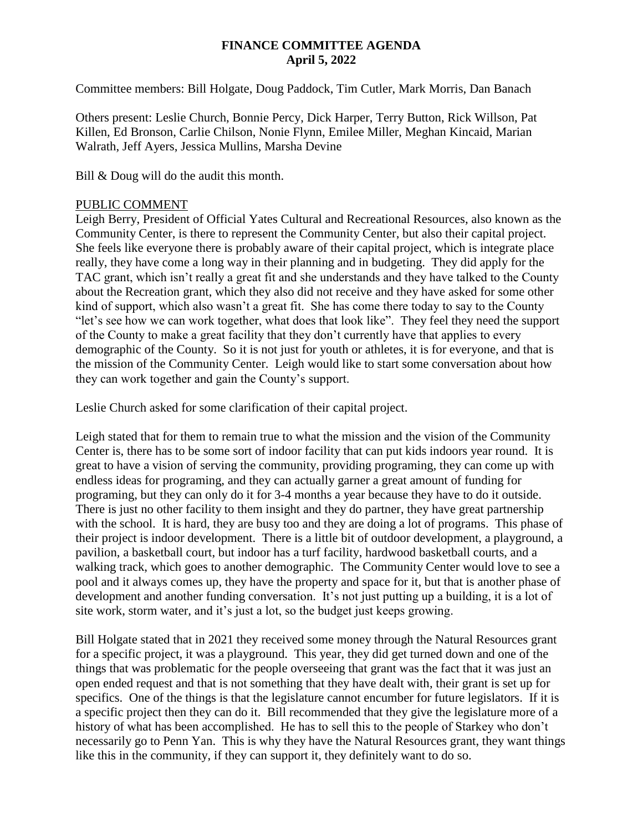#### **FINANCE COMMITTEE AGENDA April 5, 2022**

Committee members: Bill Holgate, Doug Paddock, Tim Cutler, Mark Morris, Dan Banach

Others present: Leslie Church, Bonnie Percy, Dick Harper, Terry Button, Rick Willson, Pat Killen, Ed Bronson, Carlie Chilson, Nonie Flynn, Emilee Miller, Meghan Kincaid, Marian Walrath, Jeff Ayers, Jessica Mullins, Marsha Devine

Bill & Doug will do the audit this month.

#### PUBLIC COMMENT

Leigh Berry, President of Official Yates Cultural and Recreational Resources, also known as the Community Center, is there to represent the Community Center, but also their capital project. She feels like everyone there is probably aware of their capital project, which is integrate place really, they have come a long way in their planning and in budgeting. They did apply for the TAC grant, which isn't really a great fit and she understands and they have talked to the County about the Recreation grant, which they also did not receive and they have asked for some other kind of support, which also wasn't a great fit. She has come there today to say to the County "let's see how we can work together, what does that look like". They feel they need the support of the County to make a great facility that they don't currently have that applies to every demographic of the County. So it is not just for youth or athletes, it is for everyone, and that is the mission of the Community Center. Leigh would like to start some conversation about how they can work together and gain the County's support.

Leslie Church asked for some clarification of their capital project.

Leigh stated that for them to remain true to what the mission and the vision of the Community Center is, there has to be some sort of indoor facility that can put kids indoors year round. It is great to have a vision of serving the community, providing programing, they can come up with endless ideas for programing, and they can actually garner a great amount of funding for programing, but they can only do it for 3-4 months a year because they have to do it outside. There is just no other facility to them insight and they do partner, they have great partnership with the school. It is hard, they are busy too and they are doing a lot of programs. This phase of their project is indoor development. There is a little bit of outdoor development, a playground, a pavilion, a basketball court, but indoor has a turf facility, hardwood basketball courts, and a walking track, which goes to another demographic. The Community Center would love to see a pool and it always comes up, they have the property and space for it, but that is another phase of development and another funding conversation. It's not just putting up a building, it is a lot of site work, storm water, and it's just a lot, so the budget just keeps growing.

Bill Holgate stated that in 2021 they received some money through the Natural Resources grant for a specific project, it was a playground. This year, they did get turned down and one of the things that was problematic for the people overseeing that grant was the fact that it was just an open ended request and that is not something that they have dealt with, their grant is set up for specifics. One of the things is that the legislature cannot encumber for future legislators. If it is a specific project then they can do it. Bill recommended that they give the legislature more of a history of what has been accomplished. He has to sell this to the people of Starkey who don't necessarily go to Penn Yan. This is why they have the Natural Resources grant, they want things like this in the community, if they can support it, they definitely want to do so.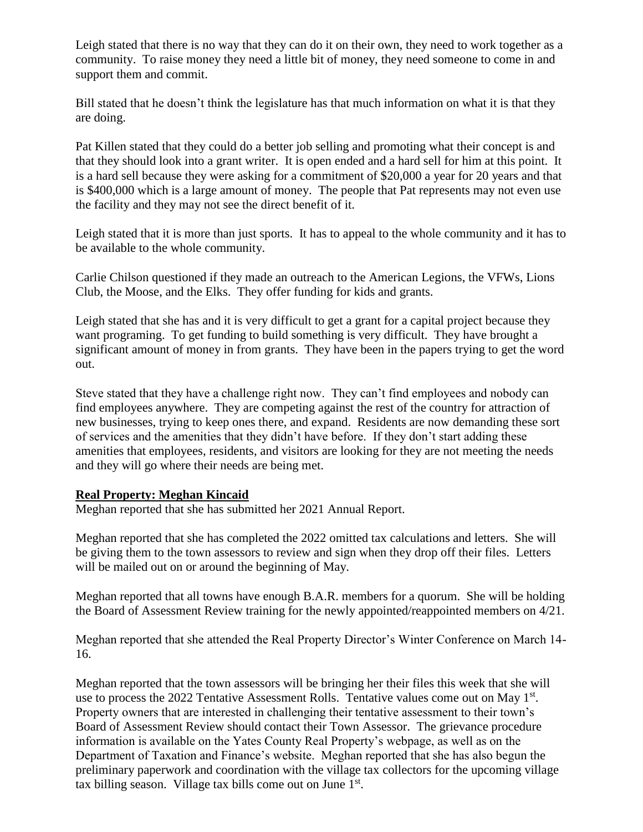Leigh stated that there is no way that they can do it on their own, they need to work together as a community. To raise money they need a little bit of money, they need someone to come in and support them and commit.

Bill stated that he doesn't think the legislature has that much information on what it is that they are doing.

Pat Killen stated that they could do a better job selling and promoting what their concept is and that they should look into a grant writer. It is open ended and a hard sell for him at this point. It is a hard sell because they were asking for a commitment of \$20,000 a year for 20 years and that is \$400,000 which is a large amount of money. The people that Pat represents may not even use the facility and they may not see the direct benefit of it.

Leigh stated that it is more than just sports. It has to appeal to the whole community and it has to be available to the whole community.

Carlie Chilson questioned if they made an outreach to the American Legions, the VFWs, Lions Club, the Moose, and the Elks. They offer funding for kids and grants.

Leigh stated that she has and it is very difficult to get a grant for a capital project because they want programing. To get funding to build something is very difficult. They have brought a significant amount of money in from grants. They have been in the papers trying to get the word out.

Steve stated that they have a challenge right now. They can't find employees and nobody can find employees anywhere. They are competing against the rest of the country for attraction of new businesses, trying to keep ones there, and expand. Residents are now demanding these sort of services and the amenities that they didn't have before. If they don't start adding these amenities that employees, residents, and visitors are looking for they are not meeting the needs and they will go where their needs are being met.

#### **Real Property: Meghan Kincaid**

Meghan reported that she has submitted her 2021 Annual Report.

Meghan reported that she has completed the 2022 omitted tax calculations and letters. She will be giving them to the town assessors to review and sign when they drop off their files. Letters will be mailed out on or around the beginning of May.

Meghan reported that all towns have enough B.A.R. members for a quorum. She will be holding the Board of Assessment Review training for the newly appointed/reappointed members on 4/21.

Meghan reported that she attended the Real Property Director's Winter Conference on March 14- 16.

Meghan reported that the town assessors will be bringing her their files this week that she will use to process the 2022 Tentative Assessment Rolls. Tentative values come out on May 1<sup>st</sup>. Property owners that are interested in challenging their tentative assessment to their town's Board of Assessment Review should contact their Town Assessor. The grievance procedure information is available on the Yates County Real Property's webpage, as well as on the Department of Taxation and Finance's website. Meghan reported that she has also begun the preliminary paperwork and coordination with the village tax collectors for the upcoming village tax billing season. Village tax bills come out on June  $1<sup>st</sup>$ .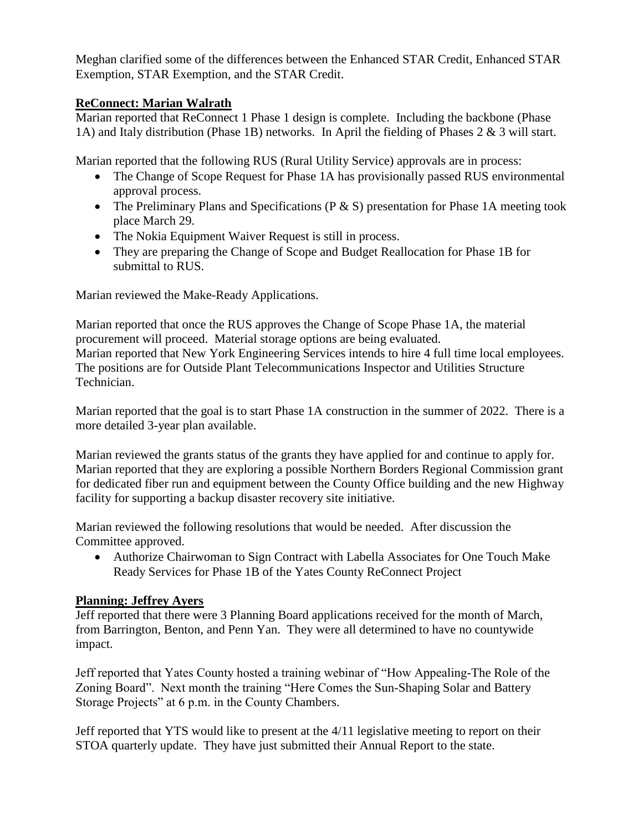Meghan clarified some of the differences between the Enhanced STAR Credit, Enhanced STAR Exemption, STAR Exemption, and the STAR Credit.

## **ReConnect: Marian Walrath**

Marian reported that ReConnect 1 Phase 1 design is complete. Including the backbone (Phase 1A) and Italy distribution (Phase 1B) networks. In April the fielding of Phases 2 & 3 will start.

Marian reported that the following RUS (Rural Utility Service) approvals are in process:

- The Change of Scope Request for Phase 1A has provisionally passed RUS environmental approval process.
- The Preliminary Plans and Specifications ( $P & S$ ) presentation for Phase 1A meeting took place March 29.
- The Nokia Equipment Waiver Request is still in process.
- They are preparing the Change of Scope and Budget Reallocation for Phase 1B for submittal to RUS.

Marian reviewed the Make-Ready Applications.

Marian reported that once the RUS approves the Change of Scope Phase 1A, the material procurement will proceed. Material storage options are being evaluated. Marian reported that New York Engineering Services intends to hire 4 full time local employees. The positions are for Outside Plant Telecommunications Inspector and Utilities Structure Technician.

Marian reported that the goal is to start Phase 1A construction in the summer of 2022. There is a more detailed 3-year plan available.

Marian reviewed the grants status of the grants they have applied for and continue to apply for. Marian reported that they are exploring a possible Northern Borders Regional Commission grant for dedicated fiber run and equipment between the County Office building and the new Highway facility for supporting a backup disaster recovery site initiative.

Marian reviewed the following resolutions that would be needed. After discussion the Committee approved.

 Authorize Chairwoman to Sign Contract with Labella Associates for One Touch Make Ready Services for Phase 1B of the Yates County ReConnect Project

## **Planning: Jeffrey Ayers**

Jeff reported that there were 3 Planning Board applications received for the month of March, from Barrington, Benton, and Penn Yan. They were all determined to have no countywide impact.

Jeff reported that Yates County hosted a training webinar of "How Appealing-The Role of the Zoning Board". Next month the training "Here Comes the Sun-Shaping Solar and Battery Storage Projects" at 6 p.m. in the County Chambers.

Jeff reported that YTS would like to present at the 4/11 legislative meeting to report on their STOA quarterly update. They have just submitted their Annual Report to the state.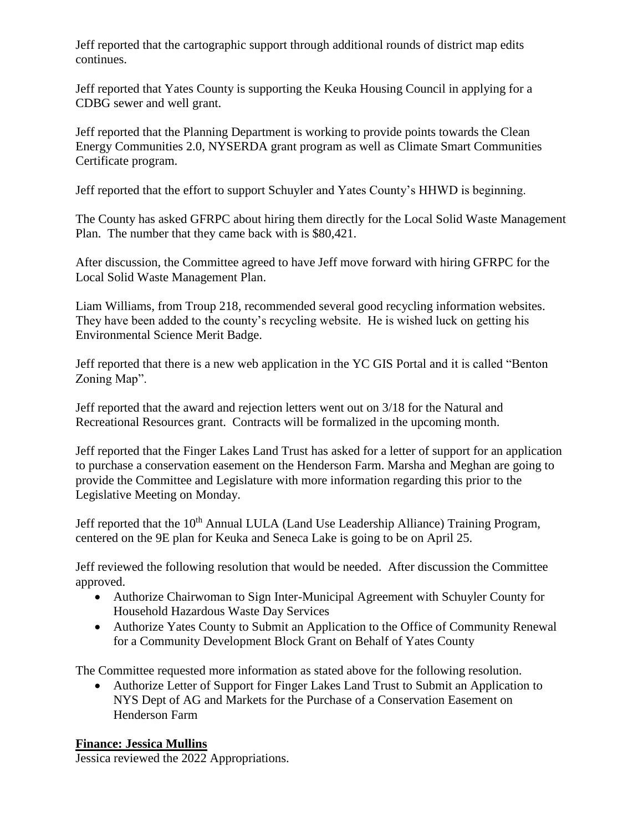Jeff reported that the cartographic support through additional rounds of district map edits continues.

Jeff reported that Yates County is supporting the Keuka Housing Council in applying for a CDBG sewer and well grant.

Jeff reported that the Planning Department is working to provide points towards the Clean Energy Communities 2.0, NYSERDA grant program as well as Climate Smart Communities Certificate program.

Jeff reported that the effort to support Schuyler and Yates County's HHWD is beginning.

The County has asked GFRPC about hiring them directly for the Local Solid Waste Management Plan. The number that they came back with is \$80,421.

After discussion, the Committee agreed to have Jeff move forward with hiring GFRPC for the Local Solid Waste Management Plan.

Liam Williams, from Troup 218, recommended several good recycling information websites. They have been added to the county's recycling website. He is wished luck on getting his Environmental Science Merit Badge.

Jeff reported that there is a new web application in the YC GIS Portal and it is called "Benton Zoning Map".

Jeff reported that the award and rejection letters went out on 3/18 for the Natural and Recreational Resources grant. Contracts will be formalized in the upcoming month.

Jeff reported that the Finger Lakes Land Trust has asked for a letter of support for an application to purchase a conservation easement on the Henderson Farm. Marsha and Meghan are going to provide the Committee and Legislature with more information regarding this prior to the Legislative Meeting on Monday.

Jeff reported that the 10<sup>th</sup> Annual LULA (Land Use Leadership Alliance) Training Program, centered on the 9E plan for Keuka and Seneca Lake is going to be on April 25.

Jeff reviewed the following resolution that would be needed. After discussion the Committee approved.

- Authorize Chairwoman to Sign Inter-Municipal Agreement with Schuyler County for Household Hazardous Waste Day Services
- Authorize Yates County to Submit an Application to the Office of Community Renewal for a Community Development Block Grant on Behalf of Yates County

The Committee requested more information as stated above for the following resolution.

 Authorize Letter of Support for Finger Lakes Land Trust to Submit an Application to NYS Dept of AG and Markets for the Purchase of a Conservation Easement on Henderson Farm

# **Finance: Jessica Mullins**

Jessica reviewed the 2022 Appropriations.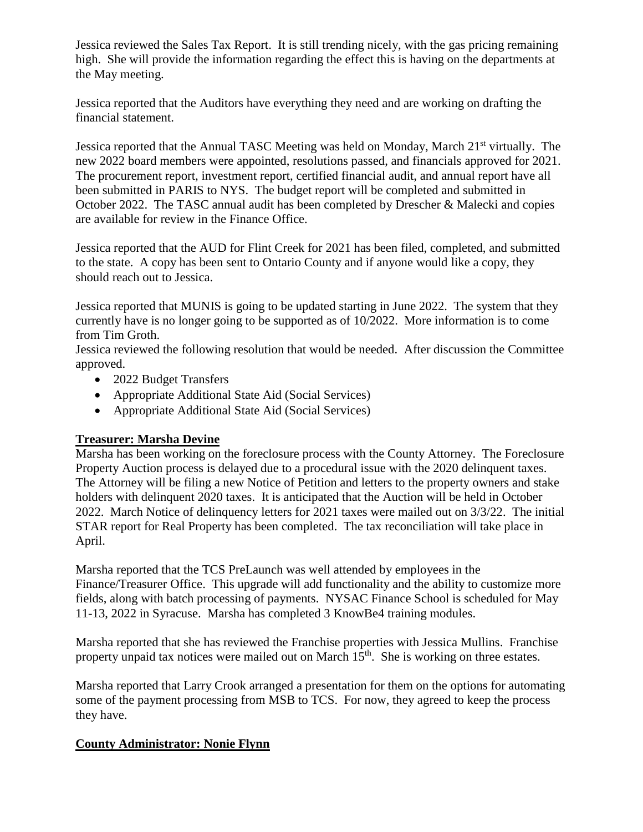Jessica reviewed the Sales Tax Report. It is still trending nicely, with the gas pricing remaining high. She will provide the information regarding the effect this is having on the departments at the May meeting.

Jessica reported that the Auditors have everything they need and are working on drafting the financial statement.

Jessica reported that the Annual TASC Meeting was held on Monday, March 21<sup>st</sup> virtually. The new 2022 board members were appointed, resolutions passed, and financials approved for 2021. The procurement report, investment report, certified financial audit, and annual report have all been submitted in PARIS to NYS. The budget report will be completed and submitted in October 2022. The TASC annual audit has been completed by Drescher & Malecki and copies are available for review in the Finance Office.

Jessica reported that the AUD for Flint Creek for 2021 has been filed, completed, and submitted to the state. A copy has been sent to Ontario County and if anyone would like a copy, they should reach out to Jessica.

Jessica reported that MUNIS is going to be updated starting in June 2022. The system that they currently have is no longer going to be supported as of 10/2022. More information is to come from Tim Groth.

Jessica reviewed the following resolution that would be needed. After discussion the Committee approved.

- 2022 Budget Transfers
- Appropriate Additional State Aid (Social Services)
- Appropriate Additional State Aid (Social Services)

## **Treasurer: Marsha Devine**

Marsha has been working on the foreclosure process with the County Attorney. The Foreclosure Property Auction process is delayed due to a procedural issue with the 2020 delinquent taxes. The Attorney will be filing a new Notice of Petition and letters to the property owners and stake holders with delinquent 2020 taxes. It is anticipated that the Auction will be held in October 2022. March Notice of delinquency letters for 2021 taxes were mailed out on 3/3/22. The initial STAR report for Real Property has been completed. The tax reconciliation will take place in April.

Marsha reported that the TCS PreLaunch was well attended by employees in the Finance/Treasurer Office. This upgrade will add functionality and the ability to customize more fields, along with batch processing of payments. NYSAC Finance School is scheduled for May 11-13, 2022 in Syracuse. Marsha has completed 3 KnowBe4 training modules.

Marsha reported that she has reviewed the Franchise properties with Jessica Mullins. Franchise property unpaid tax notices were mailed out on March 15<sup>th</sup>. She is working on three estates.

Marsha reported that Larry Crook arranged a presentation for them on the options for automating some of the payment processing from MSB to TCS. For now, they agreed to keep the process they have.

## **County Administrator: Nonie Flynn**